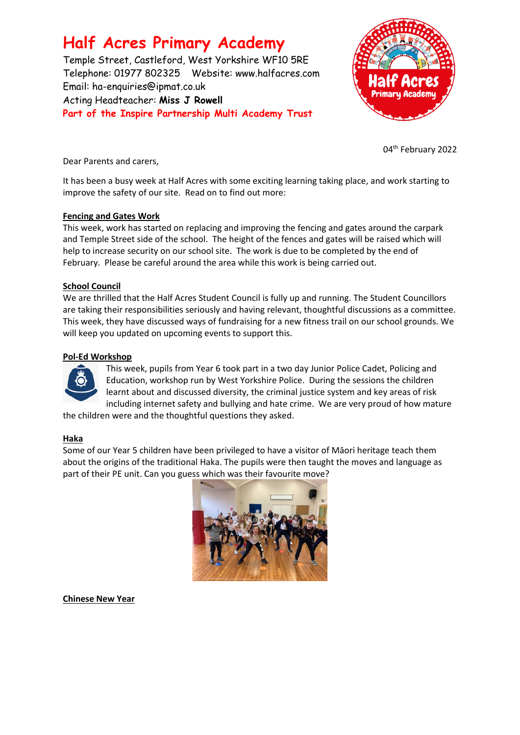# **Half Acres Primary Academy**

Temple Street, Castleford, West Yorkshire WF10 5RE Telephone: 01977 802325 Website: [www.halfacres.com](http://www.halfacres.com/) Email: ha-enquiries@ipmat.co.uk Acting Headteacher: **Miss J Rowell Part of the Inspire Partnership Multi Academy Trust**



04th February 2022

Dear Parents and carers,

It has been a busy week at Half Acres with some exciting learning taking place, and work starting to improve the safety of our site. Read on to find out more:

# **Fencing and Gates Work**

This week, work has started on replacing and improving the fencing and gates around the carpark and Temple Street side of the school. The height of the fences and gates will be raised which will help to increase security on our school site. The work is due to be completed by the end of February. Please be careful around the area while this work is being carried out.

## **School Council**

We are thrilled that the Half Acres Student Council is fully up and running. The Student Councillors are taking their responsibilities seriously and having relevant, thoughtful discussions as a committee. This week, they have discussed ways of fundraising for a new fitness trail on our school grounds. We will keep you updated on upcoming events to support this.

## **Pol-Ed Workshop**



This week, pupils from Year 6 took part in a two day Junior Police Cadet, Policing and Education, workshop run by West Yorkshire Police. During the sessions the children learnt about and discussed diversity, the criminal justice system and key areas of risk including internet safety and bullying and hate crime. We are very proud of how mature

the children were and the thoughtful questions they asked.

#### **Haka**

Some of our Year 5 children have been privileged to have a visitor of Māori heritage teach them about the origins of the traditional Haka. The pupils were then taught the moves and language as part of their PE unit. Can you guess which was their favourite move?



**Chinese New Year**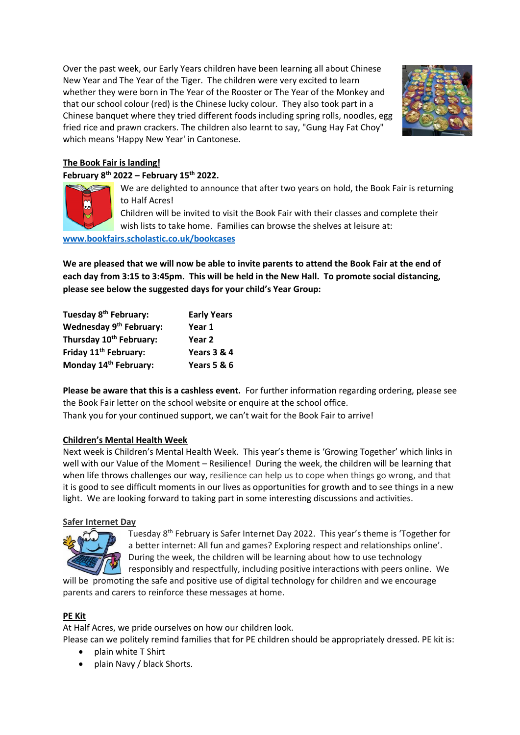Over the past week, our Early Years children have been learning all about Chinese New Year and The Year of the Tiger. The children were very excited to learn whether they were born in The Year of the Rooster or The Year of the Monkey and that our school colour (red) is the Chinese lucky colour. They also took part in a Chinese banquet where they tried different foods including spring rolls, noodles, egg fried rice and prawn crackers. The children also learnt to say, "Gung Hay Fat Choy" which means 'Happy New Year' in Cantonese.



#### **The Book Fair is landing!**

# **February 8th 2022 – February 15 th 2022.**



We are delighted to announce that after two years on hold, the Book Fair is returning to Half Acres!

Children will be invited to visit the Book Fair with their classes and complete their wish lists to take home. Families can browse the shelves at leisure at:

**[www.bookfairs.scholastic.co.uk/bookcases](http://www.bookfairs.scholastic.co.uk/bookcases)**

**We are pleased that we will now be able to invite parents to attend the Book Fair at the end of each day from 3:15 to 3:45pm. This will be held in the New Hall. To promote social distancing, please see below the suggested days for your child's Year Group:**

| Tuesday 8 <sup>th</sup> February:   | <b>Early Years</b>     |
|-------------------------------------|------------------------|
| Wednesday 9 <sup>th</sup> February: | Year 1                 |
| Thursday 10 <sup>th</sup> February: | Year 2                 |
| Friday 11 <sup>th</sup> February:   | <b>Years 3 &amp; 4</b> |
| Monday 14th February:               | <b>Years 5 &amp; 6</b> |

**Please be aware that this is a cashless event.** For further information regarding ordering, please see the Book Fair letter on the school website or enquire at the school office. Thank you for your continued support, we can't wait for the Book Fair to arrive!

#### **Children's Mental Health Week**

Next week is Children's Mental Health Week. This year's theme is 'Growing Together' which links in well with our Value of the Moment – Resilience! During the week, the children will be learning that when life throws challenges our way, resilience can help us to cope when things go wrong, and that it is good to see difficult moments in our lives as opportunities for growth and to see things in a new light. We are looking forward to taking part in some interesting discussions and activities.

#### **Safer Internet Day**



Tuesday 8th February is Safer Internet Day 2022. This year's theme is 'Together for a better internet: All fun and games? Exploring respect and relationships online'. During the week, the children will be learning about how to use technology responsibly and respectfully, including positive interactions with peers online. We

will be promoting the safe and positive use of digital technology for children and we encourage parents and carers to reinforce these messages at home.

#### **PE Kit**

At Half Acres, we pride ourselves on how our children look.

Please can we politely remind families that for PE children should be appropriately dressed. PE kit is:

- plain white T Shirt
- plain Navy / black Shorts.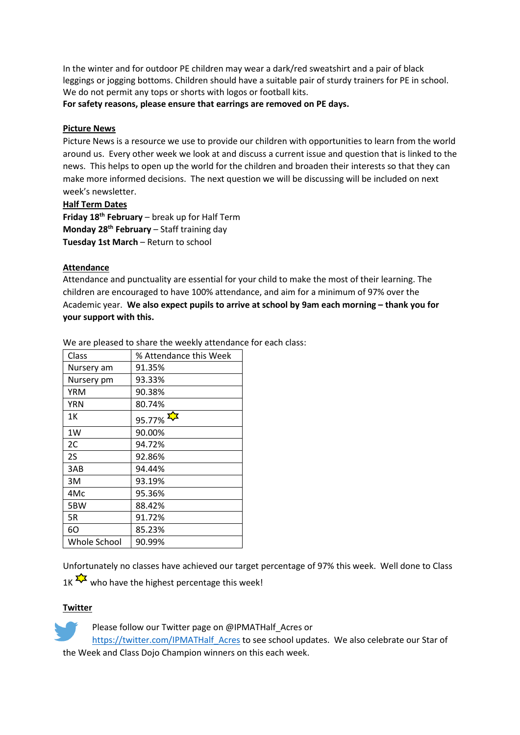In the winter and for outdoor PE children may wear a dark/red sweatshirt and a pair of black leggings or jogging bottoms. Children should have a suitable pair of sturdy trainers for PE in school. We do not permit any tops or shorts with logos or football kits.

**For safety reasons, please ensure that earrings are removed on PE days.**

## **Picture News**

Picture News is a resource we use to provide our children with opportunities to learn from the world around us. Every other week we look at and discuss a current issue and question that is linked to the news. This helps to open up the world for the children and broaden their interests so that they can make more informed decisions. The next question we will be discussing will be included on next week's newsletter.

## **Half Term Dates**

**Friday 18th February** – break up for Half Term **Monday 28th February** – Staff training day **Tuesday 1st March** – Return to school

#### **Attendance**

Attendance and punctuality are essential for your child to make the most of their learning. The children are encouraged to have 100% attendance, and aim for a minimum of 97% over the Academic year. We also expect pupils to arrive at school by 9am each morning - thank you for **your support with this.**

| Class        | % Attendance this Week |
|--------------|------------------------|
| Nursery am   | 91.35%                 |
| Nursery pm   | 93.33%                 |
| YRM          | 90.38%                 |
| YRN          | 80.74%                 |
| 1Κ           | 95.77% <sup>ΣΖ</sup>   |
| 1W           | 90.00%                 |
| 2C           | 94.72%                 |
| 2S           | 92.86%                 |
| 3AB          | 94.44%                 |
| 3M           | 93.19%                 |
| 4Mc          | 95.36%                 |
| 5BW          | 88.42%                 |
| 5R           | 91.72%                 |
| 60           | 85.23%                 |
| Whole School | 90.99%                 |

We are pleased to share the weekly attendance for each class:

Unfortunately no classes have achieved our target percentage of 97% this week. Well done to Class

1K  $\frac{1}{2}$  who have the highest percentage this week!

#### **Twitter**

Please follow our Twitter page on @IPMATHalf Acres or

https://twitter.com/IPMATHalf Acres to see school updates. We also celebrate our Star of the Week and Class Dojo Champion winners on this each week.